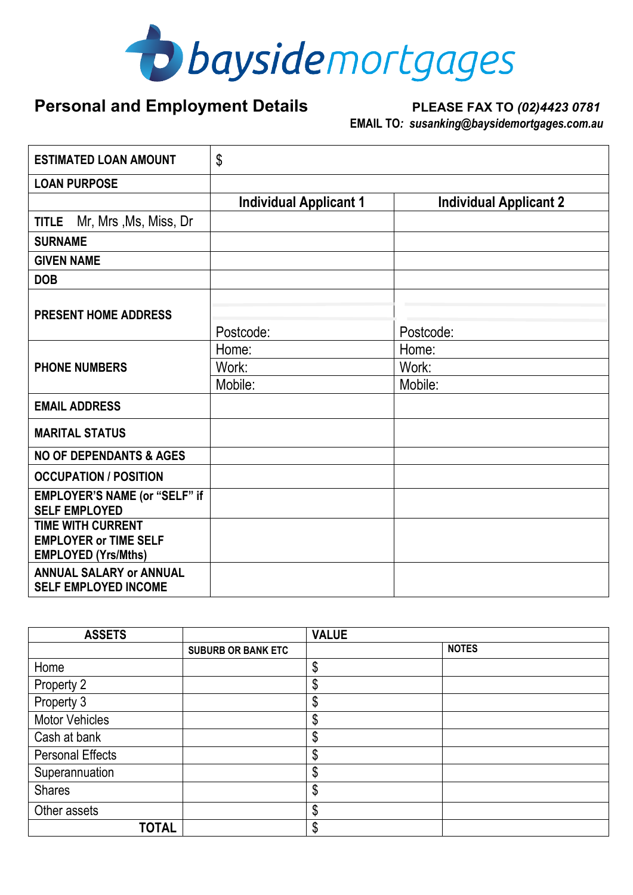

## Personal and Employment Details PLEASE FAX TO  $(02)44230781$

# **EMAIL TO***: susanking@baysidemortgages.com.au*

| <b>ESTIMATED LOAN AMOUNT</b>                                                           | \$                            |                               |  |  |
|----------------------------------------------------------------------------------------|-------------------------------|-------------------------------|--|--|
| <b>LOAN PURPOSE</b>                                                                    |                               |                               |  |  |
|                                                                                        | <b>Individual Applicant 1</b> | <b>Individual Applicant 2</b> |  |  |
| Mr, Mrs, Ms, Miss, Dr<br><b>TITLE</b>                                                  |                               |                               |  |  |
| <b>SURNAME</b>                                                                         |                               |                               |  |  |
| <b>GIVEN NAME</b>                                                                      |                               |                               |  |  |
| <b>DOB</b>                                                                             |                               |                               |  |  |
| <b>PRESENT HOME ADDRESS</b>                                                            | Postcode:                     | Postcode:                     |  |  |
|                                                                                        | Home:                         | Home:                         |  |  |
| <b>PHONE NUMBERS</b>                                                                   | Work:                         | Work:                         |  |  |
|                                                                                        | Mobile:                       | Mobile:                       |  |  |
| <b>EMAIL ADDRESS</b>                                                                   |                               |                               |  |  |
| <b>MARITAL STATUS</b>                                                                  |                               |                               |  |  |
| <b>NO OF DEPENDANTS &amp; AGES</b>                                                     |                               |                               |  |  |
| <b>OCCUPATION / POSITION</b>                                                           |                               |                               |  |  |
| EMPLOYER'S NAME (or "SELF" if<br><b>SELF EMPLOYED</b>                                  |                               |                               |  |  |
| <b>TIME WITH CURRENT</b><br><b>EMPLOYER or TIME SELF</b><br><b>EMPLOYED (Yrs/Mths)</b> |                               |                               |  |  |
| <b>ANNUAL SALARY or ANNUAL</b><br><b>SELF EMPLOYED INCOME</b>                          |                               |                               |  |  |

| <b>ASSETS</b>           |                           | <b>VALUE</b> |              |
|-------------------------|---------------------------|--------------|--------------|
|                         | <b>SUBURB OR BANK ETC</b> |              | <b>NOTES</b> |
| Home                    |                           | \$           |              |
| Property 2              |                           | \$           |              |
| Property 3              |                           | ሶ<br>D       |              |
| <b>Motor Vehicles</b>   |                           | \$           |              |
| Cash at bank            |                           | \$           |              |
| <b>Personal Effects</b> |                           | \$           |              |
| Superannuation          |                           | \$           |              |
| <b>Shares</b>           |                           | \$           |              |
| Other assets            |                           | \$           |              |
| <b>TOTAL</b>            |                           | \$           |              |